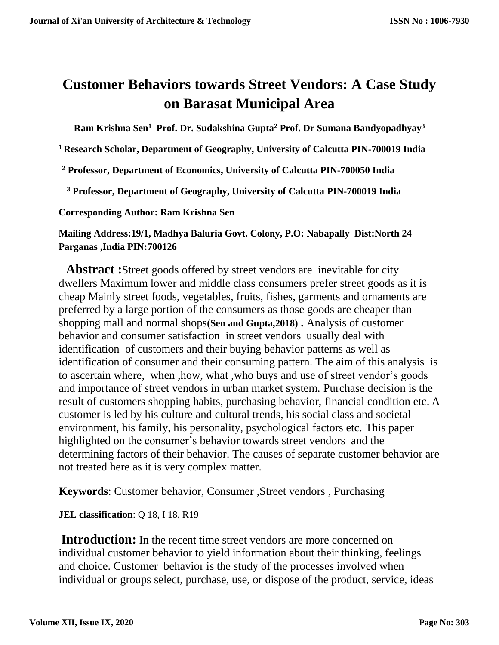# **Customer Behaviors towards Street Vendors: A Case Study on Barasat Municipal Area**

**Ram Krishna Sen<sup>1</sup>Prof. Dr. Sudakshina Gupta<sup>2</sup> Prof. Dr Sumana Bandyopadhyay<sup>3</sup>**

**<sup>1</sup>Research Scholar, Department of Geography, University of Calcutta PIN-700019 India** 

**<sup>2</sup> Professor, Department of Economics, University of Calcutta PIN-700050 India** 

**<sup>3</sup> Professor, Department of Geography, University of Calcutta PIN-700019 India**

**Corresponding Author: Ram Krishna Sen**

**Mailing Address:19/1, Madhya Baluria Govt. Colony, P.O: Nabapally Dist:North 24 Parganas ,India PIN:700126**

 **Abstract :**Street goods offered by street vendors are inevitable for city dwellers Maximum lower and middle class consumers prefer street goods as it is cheap Mainly street foods, vegetables, fruits, fishes, garments and ornaments are preferred by a large portion of the consumers as those goods are cheaper than shopping mall and normal shops**(Sen and Gupta,2018) .** Analysis of customer behavior and consumer satisfaction in street vendors usually deal with identification of customers and their buying behavior patterns as well as identification of consumer and their consuming pattern. The aim of this analysis is to ascertain where, when ,how, what ,who buys and use of street vendor's goods and importance of street vendors in urban market system. Purchase decision is the result of customers shopping habits, purchasing behavior, financial condition etc. A customer is led by his culture and cultural trends, his social class and societal environment, his family, his personality, psychological factors etc. This paper highlighted on the consumer's behavior towards street vendors and the determining factors of their behavior. The causes of separate customer behavior are not treated here as it is very complex matter.

**Keywords**: Customer behavior, Consumer ,Street vendors , Purchasing

**JEL classification**: Q 18, I 18, R19

**Introduction:** In the recent time street vendors are more concerned on individual customer behavior to yield information about their thinking, feelings and choice. Customer behavior is the study of the processes involved when individual or groups select, purchase, use, or dispose of the product, service, ideas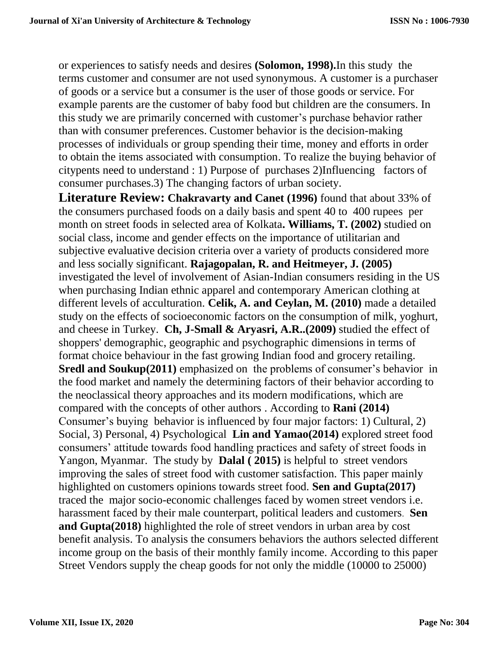or experiences to satisfy needs and desires **(Solomon, 1998).**In this study the terms customer and consumer are not used synonymous. A customer is a purchaser of goods or a service but a consumer is the user of those goods or service. For example parents are the customer of baby food but children are the consumers. In this study we are primarily concerned with customer's purchase behavior rather than with consumer preferences. Customer behavior is the decision-making processes of individuals or group spending their time, money and efforts in order to obtain the items associated with consumption. To realize the buying behavior of citypents need to understand : 1) Purpose of purchases 2)Influencing factors of consumer purchases.3) The changing factors of urban society.

**Literature Review: Chakravarty and Canet (1996)** found that about 33% of the consumers purchased foods on a daily basis and spent 40 to 400 rupees per month on street foods in selected area of Kolkata**. Williams, T. (2002)** studied on social class, income and gender effects on the importance of utilitarian and subjective evaluative decision criteria over a variety of products considered more and less socially significant. **Rajagopalan, R. and Heitmeyer, J. (2005)** investigated the level of involvement of Asian-Indian consumers residing in the US when purchasing Indian ethnic apparel and contemporary American clothing at different levels of acculturation. **Celik, A. and Ceylan, M. (2010)** made a detailed study on the effects of socioeconomic factors on the consumption of milk, yoghurt, and cheese in Turkey. **Ch, J-Small & Aryasri, A.R..(2009)** studied the effect of shoppers' demographic, geographic and psychographic dimensions in terms of format choice behaviour in the fast growing Indian food and grocery retailing. **Sredl and Soukup(2011)** emphasized on the problems of consumer's behavior in the food market and namely the determining factors of their behavior according to the neoclassical theory approaches and its modern modifications, which are compared with the concepts of other authors . According to **Rani (2014)** Consumer's buying behavior is influenced by four major factors: 1) Cultural, 2) Social, 3) Personal, 4) Psychological **Lin and Yamao(2014)** explored street food consumers' attitude towards food handling practices and safety of street foods in Yangon, Myanmar. The study by **Dalal ( 2015)** is helpful to street vendors improving the sales of street food with customer satisfaction. This paper mainly highlighted on customers opinions towards street food. **Sen and Gupta(2017)** traced the major socio-economic challenges faced by women street vendors i.e. harassment faced by their male counterpart, political leaders and customers. **Sen and Gupta(2018)** highlighted the role of street vendors in urban area by cost benefit analysis. To analysis the consumers behaviors the authors selected different income group on the basis of their monthly family income. According to this paper Street Vendors supply the cheap goods for not only the middle (10000 to 25000)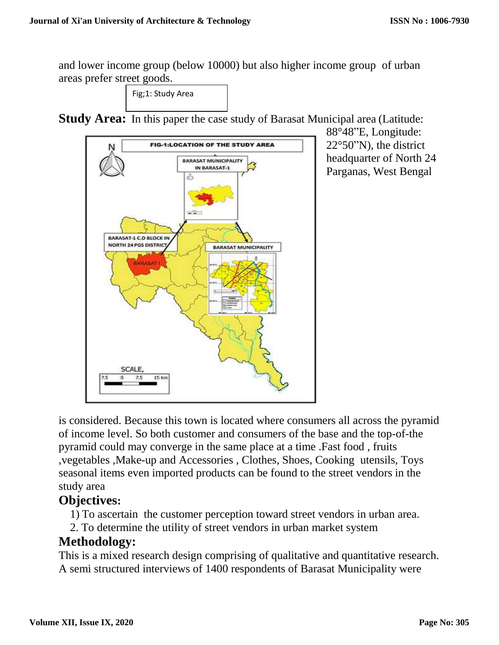and lower income group (below 10000) but also higher income group of urban areas prefer street goods.

Fig;1: Study Area

**Study Area:** In this paper the case study of Barasat Municipal area (Latitude:



88°48"E, Longitude: 22°50"N), the district headquarter of North 24 Parganas, West Bengal

is considered. Because this town is located where consumers all across the pyramid of income level. So both customer and consumers of the base and the top-of-the pyramid could may converge in the same place at a time .Fast food , fruits ,vegetables ,Make-up and Accessories , Clothes, Shoes, Cooking utensils, Toys seasonal items even imported products can be found to the street vendors in the study area

# **Objectives:**

1) To ascertain the customer perception toward street vendors in urban area.

2. To determine the utility of street vendors in urban market system

# **Methodology:**

This is a mixed research design comprising of qualitative and quantitative research. A semi structured interviews of 1400 respondents of Barasat Municipality were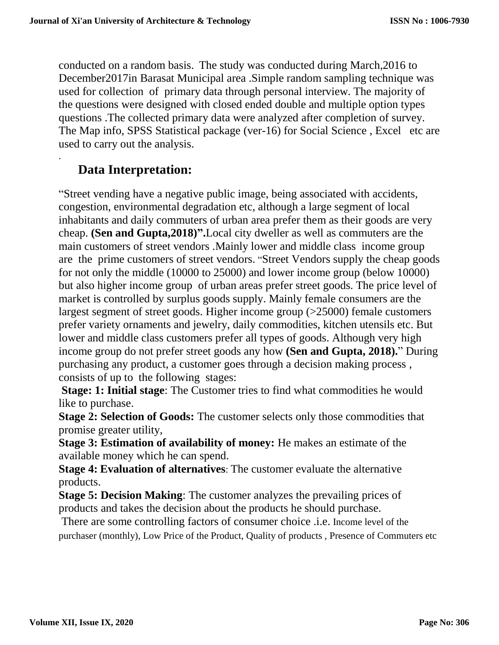conducted on a random basis. The study was conducted during March,2016 to December2017in Barasat Municipal area .Simple random sampling technique was used for collection of primary data through personal interview. The majority of the questions were designed with closed ended double and multiple option types questions .The collected primary data were analyzed after completion of survey. The Map info, SPSS Statistical package (ver-16) for Social Science , Excel etc are used to carry out the analysis.

# **Data Interpretation:**

.

"Street vending have a negative public image, being associated with accidents, congestion, environmental degradation etc, although a large segment of local inhabitants and daily commuters of urban area prefer them as their goods are very cheap. **(Sen and Gupta,2018)".**Local city dweller as well as commuters are the main customers of street vendors .Mainly lower and middle class income group are the prime customers of street vendors. "Street Vendors supply the cheap goods for not only the middle (10000 to 25000) and lower income group (below 10000) but also higher income group of urban areas prefer street goods. The price level of market is controlled by surplus goods supply. Mainly female consumers are the largest segment of street goods. Higher income group (>25000) female customers prefer variety ornaments and jewelry, daily commodities, kitchen utensils etc. But lower and middle class customers prefer all types of goods. Although very high income group do not prefer street goods any how **(Sen and Gupta, 2018).**" During purchasing any product, a customer goes through a decision making process , consists of up to the following stages:

**Stage: 1: Initial stage:** The Customer tries to find what commodities he would like to purchase.

**Stage 2: Selection of Goods:** The customer selects only those commodities that promise greater utility,

**Stage 3: Estimation of availability of money:** He makes an estimate of the available money which he can spend.

**Stage 4: Evaluation of alternatives**: The customer evaluate the alternative products.

**Stage 5: Decision Making:** The customer analyzes the prevailing prices of products and takes the decision about the products he should purchase.

There are some controlling factors of consumer choice .i.e. Income level of the purchaser (monthly), Low Price of the Product, Quality of products , Presence of Commuters etc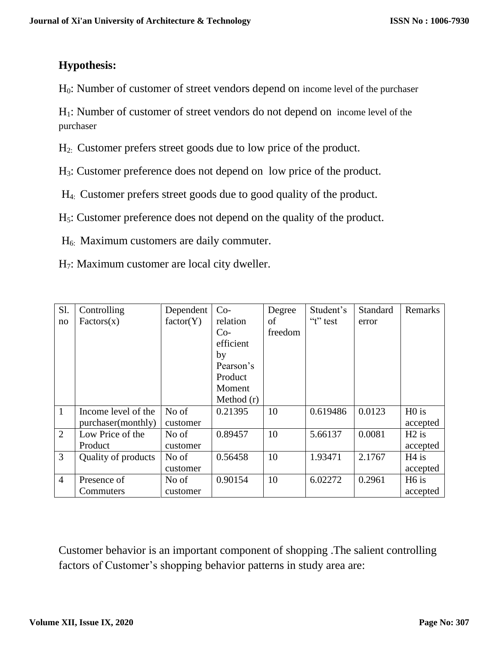## **Hypothesis:**

H0: Number of customer of street vendors depend on income level of the purchaser

H1: Number of customer of street vendors do not depend on income level of the purchaser

H2: Customer prefers street goods due to low price of the product.

H3: Customer preference does not depend on low price of the product.

H4: Customer prefers street goods due to good quality of the product.

H5: Customer preference does not depend on the quality of the product.

H6: Maximum customers are daily commuter.

H7: Maximum customer are local city dweller.

| S1.            | Controlling         | Dependent | $Co-$        | Degree  | Student's    | Standard | Remarks           |
|----------------|---------------------|-----------|--------------|---------|--------------|----------|-------------------|
| no             | Factors(x)          | factor(Y) | relation     | of      | " $t$ " test | error    |                   |
|                |                     |           | $Co-$        | freedom |              |          |                   |
|                |                     |           | efficient    |         |              |          |                   |
|                |                     |           | by           |         |              |          |                   |
|                |                     |           | Pearson's    |         |              |          |                   |
|                |                     |           | Product      |         |              |          |                   |
|                |                     |           | Moment       |         |              |          |                   |
|                |                     |           | Method $(r)$ |         |              |          |                   |
| $\mathbf{1}$   | Income level of the | No of     | 0.21395      | 10      | 0.619486     | 0.0123   | H <sub>0</sub> is |
|                | purchaser(monthly)  | customer  |              |         |              |          | accepted          |
| $\overline{2}$ | Low Price of the    | No of     | 0.89457      | 10      | 5.66137      | 0.0081   | $H2$ is           |
|                | Product             | customer  |              |         |              |          | accepted          |
| 3              | Quality of products | No of     | 0.56458      | 10      | 1.93471      | 2.1767   | $H4$ is           |
|                |                     | customer  |              |         |              |          | accepted          |
| $\overline{4}$ | Presence of         | No of     | 0.90154      | 10      | 6.02272      | 0.2961   | H <sub>6</sub> is |
|                | Commuters           | customer  |              |         |              |          | accepted          |

Customer behavior is an important component of shopping .The salient controlling factors of Customer's shopping behavior patterns in study area are: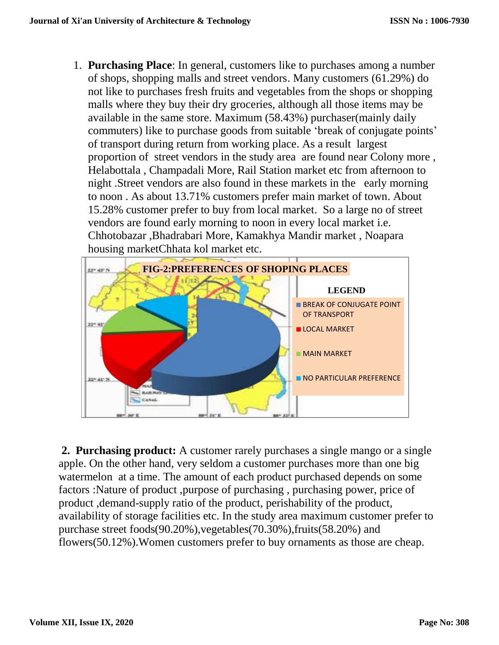1. **Purchasing Place**: In general, customers like to purchases among a number of shops, shopping malls and street vendors. Many customers (61.29%) do not like to purchases fresh fruits and vegetables from the shops or shopping malls where they buy their dry groceries, although all those items may be available in the same store. Maximum (58.43%) purchaser(mainly daily commuters) like to purchase goods from suitable 'break of conjugate points' of transport during return from working place. As a result largest proportion of street vendors in the study area are found near Colony more , Helabottala , Champadali More, Rail Station market etc from afternoon to night .Street vendors are also found in these markets in the early morning to noon . As about 13.71% customers prefer main market of town. About 15.28% customer prefer to buy from local market. So a large no of street vendors are found early morning to noon in every local market i.e. Chhotobazar ,Bhadrabari More, Kamakhya Mandir market , Noapara housing marketChhata kol market etc.



**2. Purchasing product:** A customer rarely purchases a single mango or a single apple. On the other hand, very seldom a customer purchases more than one big watermelon at a time. The amount of each product purchased depends on some factors :Nature of product ,purpose of purchasing , purchasing power, price of product ,demand-supply ratio of the product, perishability of the product, availability of storage facilities etc. In the study area maximum customer prefer to purchase street foods(90.20%),vegetables(70.30%),fruits(58.20%) and flowers(50.12%).Women customers prefer to buy ornaments as those are cheap.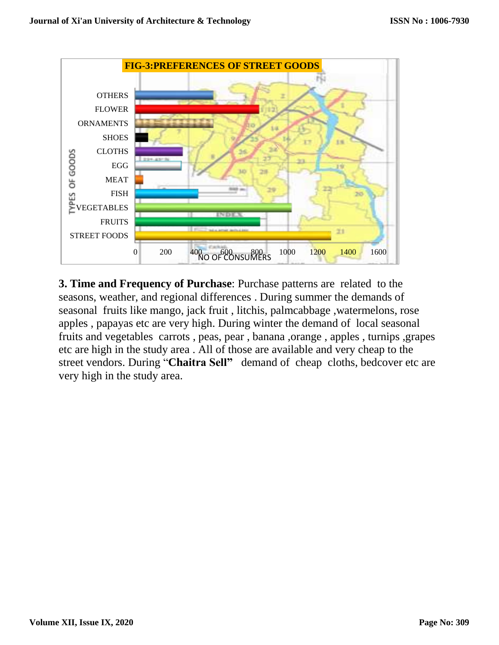

**3. Time and Frequency of Purchase**: Purchase patterns are related to the seasons, weather, and regional differences . During summer the demands of seasonal fruits like mango, jack fruit , litchis, palmcabbage ,watermelons, rose apples , papayas etc are very high. During winter the demand of local seasonal fruits and vegetables carrots , peas, pear , banana ,orange , apples , turnips ,grapes etc are high in the study area . All of those are available and very cheap to the street vendors. During "**Chaitra Sell"** demand of cheap cloths, bedcover etc are very high in the study area.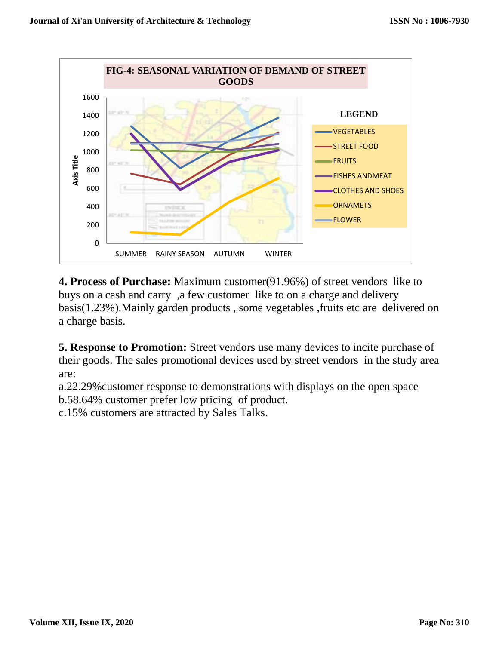

**4. Process of Purchase:** Maximum customer(91.96%) of street vendors like to buys on a cash and carry ,a few customer like to on a charge and delivery basis(1.23%).Mainly garden products , some vegetables ,fruits etc are delivered on a charge basis.

**5. Response to Promotion:** Street vendors use many devices to incite purchase of their goods. The sales promotional devices used by street vendors in the study area are:

a.22.29%customer response to demonstrations with displays on the open space b.58.64% customer prefer low pricing of product.

c.15% customers are attracted by Sales Talks.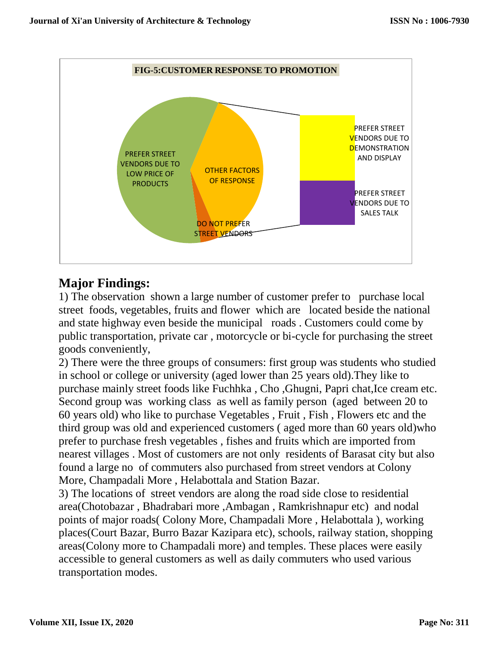

# **Major Findings:**

1) The observation shown a large number of customer prefer to purchase local street foods, vegetables, fruits and flower which are located beside the national and state highway even beside the municipal roads . Customers could come by public transportation, private car , motorcycle or bi-cycle for purchasing the street goods conveniently,

2) There were the three groups of consumers: first group was students who studied in school or college or university (aged lower than 25 years old).They like to purchase mainly street foods like Fuchhka , Cho ,Ghugni, Papri chat,Ice cream etc. Second group was working class as well as family person (aged between 20 to 60 years old) who like to purchase Vegetables , Fruit , Fish , Flowers etc and the third group was old and experienced customers ( aged more than 60 years old)who prefer to purchase fresh vegetables , fishes and fruits which are imported from nearest villages . Most of customers are not only residents of Barasat city but also found a large no of commuters also purchased from street vendors at Colony More, Champadali More , Helabottala and Station Bazar.

3) The locations of street vendors are along the road side close to residential area(Chotobazar , Bhadrabari more ,Ambagan , Ramkrishnapur etc) and nodal points of major roads( Colony More, Champadali More , Helabottala ), working places(Court Bazar, Burro Bazar Kazipara etc), schools, railway station, shopping areas(Colony more to Champadali more) and temples. These places were easily accessible to general customers as well as daily commuters who used various transportation modes.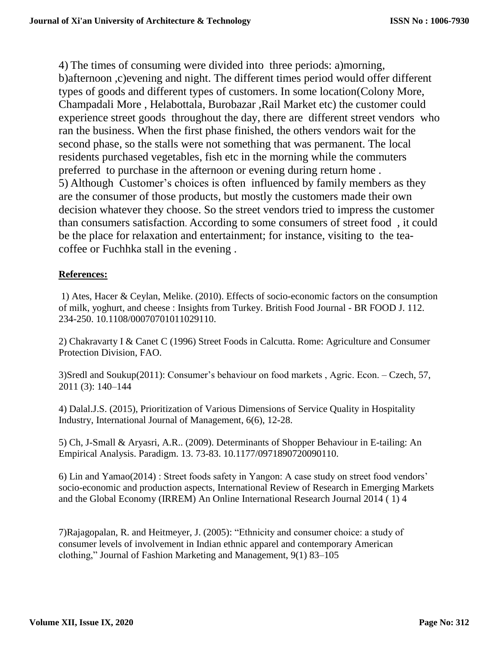4) The times of consuming were divided into three periods: a)morning, b)afternoon ,c)evening and night. The different times period would offer different types of goods and different types of customers. In some location(Colony More, Champadali More , Helabottala, Burobazar ,Rail Market etc) the customer could experience street goods throughout the day, there are different street vendors who ran the business. When the first phase finished, the others vendors wait for the second phase, so the stalls were not something that was permanent. The local residents purchased vegetables, fish etc in the morning while the commuters preferred to purchase in the afternoon or evening during return home . 5) Although Customer's choices is often influenced by family members as they are the consumer of those products, but mostly the customers made their own decision whatever they choose. So the street vendors tried to impress the customer than consumers satisfaction. According to some consumers of street food , it could be the place for relaxation and entertainment; for instance, visiting to the teacoffee or Fuchhka stall in the evening .

### **References:**

1) Ates, Hacer & Ceylan, Melike. (2010). Effects of socio-economic factors on the consumption of milk, yoghurt, and cheese : Insights from Turkey. British Food Journal - BR FOOD J. 112. 234-250. 10.1108/00070701011029110.

2) Chakravarty I & Canet C (1996) Street Foods in Calcutta. Rome: Agriculture and Consumer Protection Division, FAO.

3)Sredl and Soukup(2011): Consumer's behaviour on food markets , Agric. Econ. – Czech, 57, 2011 (3): 140–144

4) Dalal.J.S. (2015), Prioritization of Various Dimensions of Service Quality in Hospitality Industry, International Journal of Management, 6(6), 12-28.

5) Ch, J-Small & Aryasri, A.R.. (2009). Determinants of Shopper Behaviour in E-tailing: An Empirical Analysis. Paradigm. 13. 73-83. 10.1177/0971890720090110.

6) Lin and Yamao(2014) : Street foods safety in Yangon: A case study on street food vendors' socio-economic and production aspects, International Review of Research in Emerging Markets and the Global Economy (IRREM) An Online International Research Journal 2014 ( 1) 4

7)Rajagopalan, R. and Heitmeyer, J. (2005): "Ethnicity and consumer choice: a study of consumer levels of involvement in Indian ethnic apparel and contemporary American clothing," Journal of Fashion Marketing and Management, 9(1) 83–105